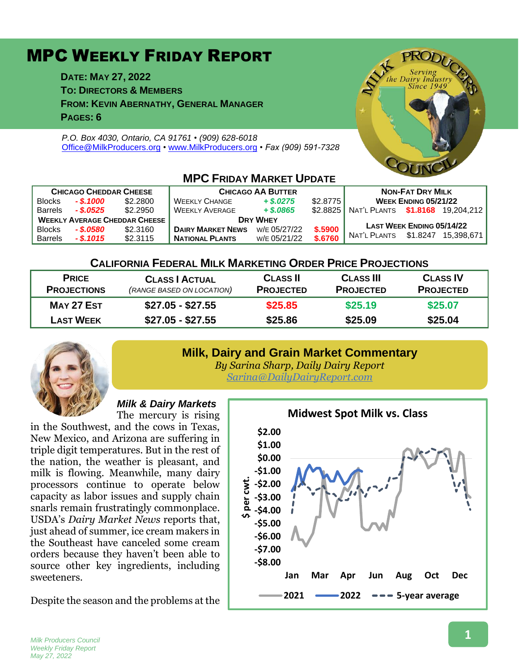# MPC WEEKLY FRIDAY REPORT

**DATE: MAY 27, 2022**

**TO: DIRECTORS & MEMBERS**

**FROM: KEVIN ABERNATHY, GENERAL MANAGER**

**PAGES: 6**

*P.O. Box 4030, Ontario, CA 91761 • (909) 628-6018* [Office@MilkProducers.org](mailto:office@milkproducers.org) *•* [www.MilkProducers.org](http://www.milkproducers.org/) *• Fax (909) 591-7328*



| <b>CHICAGO CHEDDAR CHEESE</b>        |             |          | <b>CHICAGO AA BUTTER</b> |              |          | <b>NON-FAT DRY MILK</b>          |                                  |            |  |  |  |
|--------------------------------------|-------------|----------|--------------------------|--------------|----------|----------------------------------|----------------------------------|------------|--|--|--|
| <b>Blocks</b>                        | $-$ \$.1000 | \$2,2800 | <b>WEEKLY CHANGE</b>     | $+$ \$.0275  | \$2.8775 | <b>WEEK ENDING 05/21/22</b>      |                                  |            |  |  |  |
| <b>Barrels</b>                       | - \$.0525   | \$2,2950 | <b>WEEKLY AVERAGE</b>    | $+$ \$,0865  | \$2.8825 | NAT'L PLANTS \$1.8168 19.204.212 |                                  |            |  |  |  |
| <b>WEEKLY AVERAGE CHEDDAR CHEESE</b> |             |          | <b>DRY WHEY</b>          |              |          |                                  |                                  |            |  |  |  |
| <b>Blocks</b>                        | - \$.0580   | \$2.3160 | <b>DAIRY MARKET NEWS</b> | W/E 05/27/22 | \$.5900  |                                  | <b>LAST WEEK ENDING 05/14/22</b> |            |  |  |  |
| <b>Barrels</b>                       | $-$ \$.1015 | \$2.3115 | <b>NATIONAL PLANTS</b>   | W/E 05/21/22 | \$.6760  | NAT'L PLANTS                     | \$1.8247                         | 15.398.671 |  |  |  |

#### **MPC FRIDAY MARKET LIBDATE**

# **CALIFORNIA FEDERAL MILK MARKETING ORDER PRICE PROJECTIONS**

| <b>PRICE</b><br><b>PROJECTIONS</b> | <b>CLASS   ACTUAL</b><br>(RANGE BASED ON LOCATION) | <b>CLASS II</b><br><b>PROJECTED</b> | <b>CLASS III</b><br><b>PROJECTED</b> | <b>CLASS IV</b><br><b>PROJECTED</b> |
|------------------------------------|----------------------------------------------------|-------------------------------------|--------------------------------------|-------------------------------------|
| MAY 27 EST                         | \$27.05 - \$27.55                                  | \$25.85<br>\$25.86                  | \$25.19<br>\$25.09                   | \$25.07                             |
| <b>LAST WEEK</b>                   | \$27.05 - \$27.55                                  |                                     |                                      | \$25.04                             |

# **Milk, Dairy and Grain Market Commentary**



*By Sarina Sharp, Daily Dairy Report [Sarina@DailyDairyReport.com](mailto:Sarina@DailyDairyReport.com)*

# *Milk & Dairy Markets*

The mercury is rising in the Southwest, and the cows in Texas, New Mexico, and Arizona are suffering in triple digit temperatures. But in the rest of the nation, the weather is pleasant, and milk is flowing. Meanwhile, many dairy processors continue to operate below capacity as labor issues and supply chain snarls remain frustratingly commonplace. USDA's *Dairy Market News* reports that, just ahead of summer, ice cream makers in the Southeast have canceled some cream orders because they haven't been able to source other key ingredients, including sweeteners.

Despite the season and the problems at the

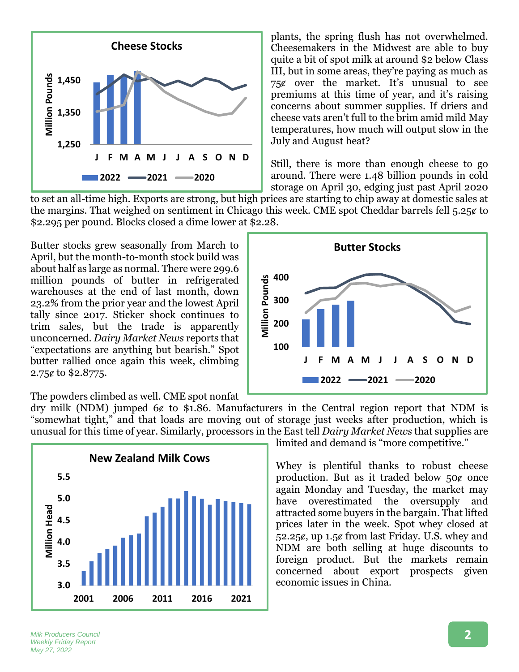

plants, the spring flush has not overwhelmed. Cheesemakers in the Midwest are able to buy quite a bit of spot milk at around \$2 below Class III, but in some areas, they're paying as much as  $75¢$  over the market. It's unusual to see premiums at this time of year, and it's raising concerns about summer supplies. If driers and cheese vats aren't full to the brim amid mild May temperatures, how much will output slow in the July and August heat?

Still, there is more than enough cheese to go around. There were 1.48 billion pounds in cold storage on April 30, edging just past April 2020

**Butter Stocks**

to set an all-time high. Exports are strong, but high prices are starting to chip away at domestic sales at the margins. That weighed on sentiment in Chicago this week. CME spot Cheddar barrels fell 5.25¢ to \$2.295 per pound. Blocks closed a dime lower at \$2.28.

Butter stocks grew seasonally from March to April, but the month-to-month stock build was about half as large as normal. There were 299.6 million pounds of butter in refrigerated warehouses at the end of last month, down 23.2% from the prior year and the lowest April tally since 2017. Sticker shock continues to trim sales, but the trade is apparently unconcerned. *Dairy Market News* reports that "expectations are anything but bearish." Spot butter rallied once again this week, climbing 2.75¢ to \$2.8775.

**J F M A M J J A S O N D 2022 2021 2020**

The powders climbed as well. CME spot nonfat

dry milk (NDM) jumped  $6¢$  to \$1.86. Manufacturers in the Central region report that NDM is "somewhat tight," and that loads are moving out of storage just weeks after production, which is unusual for this time of year. Similarly, processors in the East tell *Dairy Market News* that supplies are

**100**

**200**

**300**

**Million Pounds**

**Million Pounds** 

**400**



limited and demand is "more competitive."

Whey is plentiful thanks to robust cheese production. But as it traded below  $50¢$  once again Monday and Tuesday, the market may have overestimated the oversupply and attracted some buyers in the bargain. That lifted prices later in the week. Spot whey closed at 52.25 $\epsilon$ , up 1.5 $\epsilon$  from last Friday. U.S. whey and NDM are both selling at huge discounts to foreign product. But the markets remain concerned about export prospects given economic issues in China.

*Milk Producers Council Weekly Friday Report May 27, 2022*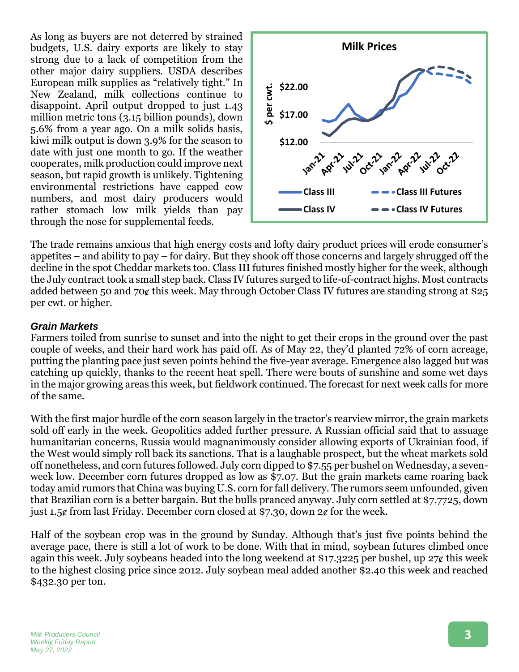As long as buyers are not deterred by strained budgets, U.S. dairy exports are likely to stay strong due to a lack of competition from the other major dairy suppliers. USDA describes European milk supplies as "relatively tight." In New Zealand, milk collections continue to disappoint. April output dropped to just 1.43 million metric tons (3.15 billion pounds), down 5.6% from a year ago. On a milk solids basis, kiwi milk output is down 3.9% for the season to date with just one month to go. If the weather cooperates, milk production could improve next season, but rapid growth is unlikely. Tightening environmental restrictions have capped cow numbers, and most dairy producers would rather stomach low milk yields than pay through the nose for supplemental feeds.



The trade remains anxious that high energy costs and lofty dairy product prices will erode consumer's appetites – and ability to pay – for dairy. But they shook off those concerns and largely shrugged off the decline in the spot Cheddar markets too. Class III futures finished mostly higher for the week, although the July contract took a small step back. Class IV futures surged to life-of-contract highs. Most contracts added between 50 and 70¢ this week. May through October Class IV futures are standing strong at \$25 per cwt. or higher.

#### *Grain Markets*

Farmers toiled from sunrise to sunset and into the night to get their crops in the ground over the past couple of weeks, and their hard work has paid off. As of May 22, they'd planted 72% of corn acreage, putting the planting pace just seven points behind the five-year average. Emergence also lagged but was catching up quickly, thanks to the recent heat spell. There were bouts of sunshine and some wet days in the major growing areas this week, but fieldwork continued. The forecast for next week calls for more of the same.

With the first major hurdle of the corn season largely in the tractor's rearview mirror, the grain markets sold off early in the week. Geopolitics added further pressure. A Russian official said that to assuage humanitarian concerns, Russia would magnanimously consider allowing exports of Ukrainian food, if the West would simply roll back its sanctions. That is a laughable prospect, but the wheat markets sold off nonetheless, and corn futures followed. July corn dipped to \$7.55 per bushel on Wednesday, a sevenweek low. December corn futures dropped as low as \$7.07. But the grain markets came roaring back today amid rumors that China was buying U.S. corn for fall delivery. The rumors seem unfounded, given that Brazilian corn is a better bargain. But the bulls pranced anyway. July corn settled at \$7.7725, down just 1.5 $\epsilon$  from last Friday. December corn closed at \$7.30, down 2 $\epsilon$  for the week.

Half of the soybean crop was in the ground by Sunday. Although that's just five points behind the average pace, there is still a lot of work to be done. With that in mind, soybean futures climbed once again this week. July soybeans headed into the long weekend at \$17.3225 per bushel, up  $27¢$  this week to the highest closing price since 2012. July soybean meal added another \$2.40 this week and reached \$432.30 per ton.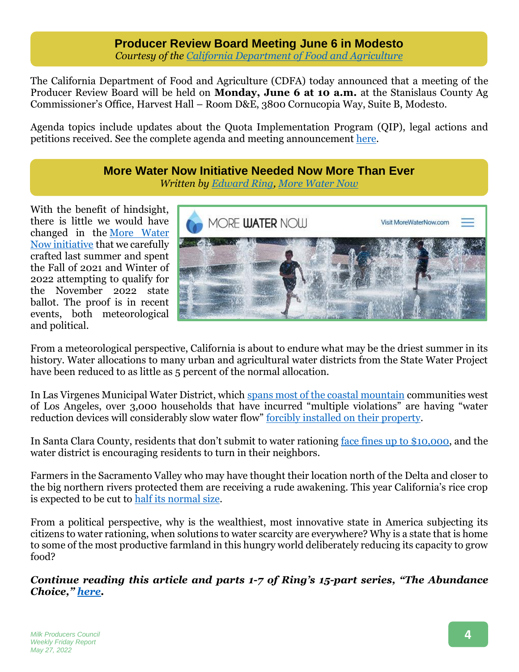#### **Producer Review Board Meeting June 6 in Modesto** *Courtesy of the [California Department of Food and Agriculture](https://www.cdfa.ca.gov/dairy/meetings.html)*

The California Department of Food and Agriculture (CDFA) today announced that a meeting of the Producer Review Board will be held on **Monday, June 6 at 10 a.m.** at the Stanislaus County Ag Commissioner's Office, Harvest Hall – Room D&E, 3800 Cornucopia Way, Suite B, Modesto.

Agenda topics include updates about the Quota Implementation Program (QIP), legal actions and petitions received. See the complete agenda and meeting announcement [here.](https://www.cdfa.ca.gov/dairy/meetings.html)

# **More Water Now Initiative Needed Now More Than Ever** *Written by [Edward Ring,](https://californiapolicycenter.org/people/edward-ring/) [More Water Now](https://morewaternow.com/)*

With the benefit of hindsight, there is little we would have changed in the [More Water](https://morewaternow.com/summary-of-initiative/)  [Now initiative](https://morewaternow.com/summary-of-initiative/) that we carefully crafted last summer and spent the Fall of 2021 and Winter of 2022 attempting to qualify for the November 2022 state ballot. The proof is in recent events, both meteorological and political.



From a meteorological perspective, California is about to endure what may be the driest summer in its history. Water allocations to many urban and agricultural water districts from the State Water Project have been reduced to as little as 5 percent of the normal allocation.

In Las Virgenes Municipal Water District, which [spans most of the coastal mountain](https://www.lvmwd.com/home/showdocument?id=1674) communities west of Los Angeles, over 3,000 households that have incurred "multiple violations" are having "water reduction devices will considerably slow water flow" [forcibly installed on their property.](https://www.cbsnews.com/losangeles/news/water-districts-targeting-wasteful-residents-as-historically-bad-drought-continues/)

In Santa Clara County, residents that don't submit to water rationing [face fines up to \\$10,000,](https://www.mercurynews.com/2022/05/24/california-drought-water-wasters-could-face-fines-of-up-to-10000-in-santa-clara-county-under-new-rules/) and the water district is encouraging residents to turn in their neighbors.

Farmers in the Sacramento Valley who may have thought their location north of the Delta and closer to the big northern rivers protected them are receiving a rude awakening. This year California's rice crop is expected to be cut to [half its normal size.](https://www.agalert.com/story/?id=15798)

From a political perspective, why is the wealthiest, most innovative state in America subjecting its citizens to water rationing, when solutions to water scarcity are everywhere? Why is a state that is home to some of the most productive farmland in this hungry world deliberately reducing its capacity to grow food?

*Continue reading this article and parts 1-7 of Ring's 15-part series, "The Abundance Choice," [here.](https://us5.campaign-archive.com/?e=6adbda60b7&u=5c1fb5b9c881f0d96edd64272&id=826d01b787)*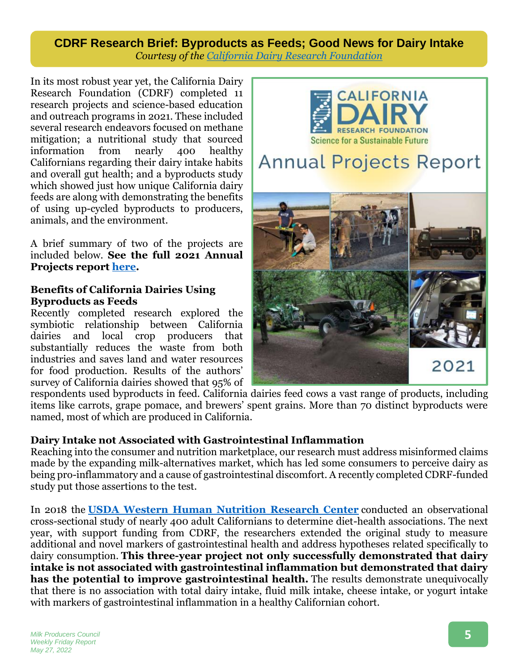# **CDRF Research Brief: Byproducts as Feeds; Good News for Dairy Intake** *Courtesy of the [California Dairy Research Foundation](https://cdrf.org/)*

In its most robust year yet, the California Dairy Research Foundation (CDRF) completed 11 research projects and science-based education and outreach programs in 2021. These included several research endeavors focused on methane mitigation; a nutritional study that sourced information from nearly 400 healthy Californians regarding their dairy intake habits and overall gut health; and a byproducts study which showed just how unique California dairy feeds are along with demonstrating the benefits of using up-cycled byproducts to producers, animals, and the environment.

A brief summary of two of the projects are included below. **See the full 2021 Annual Projects report [here.](https://cdrf.org/wp-content/uploads/2021/09/2021-cdrf-annual-projects-report.pdf)**

#### **Benefits of California Dairies Using Byproducts as Feeds**

Recently completed research explored the symbiotic relationship between California dairies and local crop producers that substantially reduces the waste from both industries and saves land and water resources for food production. Results of the authors' survey of California dairies showed that 95% of



respondents used byproducts in feed. California dairies feed cows a vast range of products, including items like carrots, grape pomace, and brewers' spent grains. More than 70 distinct byproducts were named, most of which are produced in California.

# **Dairy Intake not Associated with Gastrointestinal Inflammation**

Reaching into the consumer and nutrition marketplace, our research must address misinformed claims made by the expanding milk-alternatives market, which has led some consumers to perceive dairy as being pro-inflammatory and a cause of gastrointestinal discomfort. A recently completed CDRF-funded study put those assertions to the test.

In 2018 the **[USDA Western Human Nutrition Research Center](https://r20.rs6.net/tn.jsp?f=0012In5pmRsq8hpPT1p2KxDENXperyE5zj7CQKmWrnYw-gH2FBraVUG7feGWmz6KIiCCKDkGACTo2t5AqDEvLtatmapTKW-NGLuPxqV7FVXvd2smRYO0S_zjWoJDR1n2R-ESVC-SEJJlcwC51EzJhrPTKG9zD48vRlP2axSwUFwSuqhptczQx75VlLJsXu62MSUff6asCBk_Mc=&c=ol3-_ggjvYdssD988VBjWq1ot-kKZA9ASc8QFqcFaXHMGBonDBavWw==&ch=Kl1HobH43PkvMjpNrzpzuTeHXLaq3Dkv_gf8P2c9o-pByUjgeP6FDA==)** conducted an observational cross-sectional study of nearly 400 adult Californians to determine diet-health associations. The next year, with support funding from CDRF, the researchers extended the original study to measure additional and novel markers of gastrointestinal health and address hypotheses related specifically to dairy consumption. **This three-year project not only successfully demonstrated that dairy intake is not associated with gastrointestinal inflammation but demonstrated that dairy has the potential to improve gastrointestinal health.** The results demonstrate unequivocally that there is no association with total dairy intake, fluid milk intake, cheese intake, or yogurt intake with markers of gastrointestinal inflammation in a healthy Californian cohort.